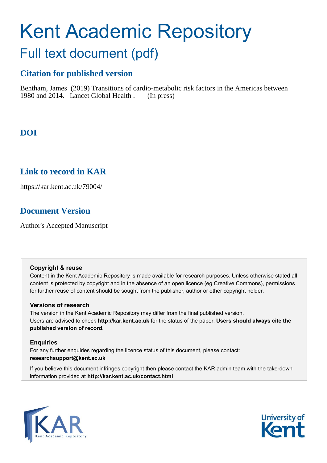# Kent Academic Repository Full text document (pdf)

# **Citation for published version**

Bentham, James (2019) Transitions of cardio-metabolic risk factors in the Americas between 1980 and 2014. Lancet Global Health . (In press)

# **DOI**

# **Link to record in KAR**

https://kar.kent.ac.uk/79004/

# **Document Version**

Author's Accepted Manuscript

## **Copyright & reuse**

Content in the Kent Academic Repository is made available for research purposes. Unless otherwise stated all content is protected by copyright and in the absence of an open licence (eg Creative Commons), permissions for further reuse of content should be sought from the publisher, author or other copyright holder.

# **Versions of research**

The version in the Kent Academic Repository may differ from the final published version. Users are advised to check **http://kar.kent.ac.uk** for the status of the paper. **Users should always cite the published version of record.**

# **Enquiries**

For any further enquiries regarding the licence status of this document, please contact: **researchsupport@kent.ac.uk**

If you believe this document infringes copyright then please contact the KAR admin team with the take-down information provided at **http://kar.kent.ac.uk/contact.html**



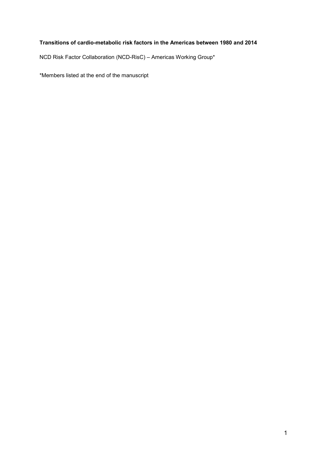## Transitions of cardio-metabolic risk factors in the Americas between 1980 and 2014

NCD Risk Factor Collaboration (NCD-RisC) – Americas Working Group\*

\*Members listed at the end of the manuscript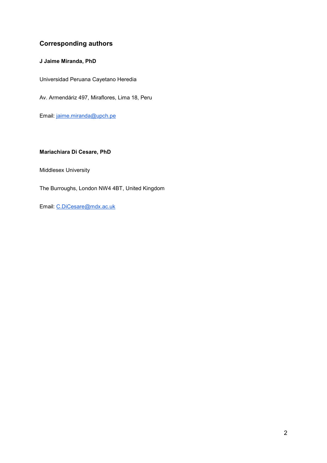# Corresponding authors

## J Jaime Miranda, PhD

Universidad Peruana Cayetano Heredia

Av. Armendáriz 497, Miraflores, Lima 18, Peru

Email: jaime.miranda@upch.pe

## Mariachiara Di Cesare, PhD

Middlesex University

The Burroughs, London NW4 4BT, United Kingdom

Email: C.DiCesare@mdx.ac.uk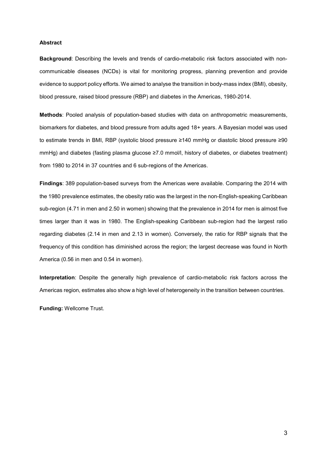#### Abstract

Background: Describing the levels and trends of cardio-metabolic risk factors associated with noncommunicable diseases (NCDs) is vital for monitoring progress, planning prevention and provide evidence to support policy efforts. We aimed to analyse the transition in body-mass index (BMI), obesity, blood pressure, raised blood pressure (RBP) and diabetes in the Americas, 1980-2014.

Methods: Pooled analysis of population-based studies with data on anthropometric measurements, biomarkers for diabetes, and blood pressure from adults aged 18+ years. A Bayesian model was used to estimate trends in BMI, RBP (systolic blood pressure ≥140 mmHg or diastolic blood pressure ≥90 mmHg) and diabetes (fasting plasma glucose ≥7.0 mmol/l, history of diabetes, or diabetes treatment) from 1980 to 2014 in 37 countries and 6 sub-regions of the Americas.

Findings: 389 population-based surveys from the Americas were available. Comparing the 2014 with the 1980 prevalence estimates, the obesity ratio was the largest in the non-English-speaking Caribbean sub-region (4.71 in men and 2.50 in women) showing that the prevalence in 2014 for men is almost five times larger than it was in 1980. The English-speaking Caribbean sub-region had the largest ratio regarding diabetes (2.14 in men and 2.13 in women). Conversely, the ratio for RBP signals that the frequency of this condition has diminished across the region; the largest decrease was found in North America (0.56 in men and 0.54 in women).

Interpretation: Despite the generally high prevalence of cardio-metabolic risk factors across the Americas region, estimates also show a high level of heterogeneity in the transition between countries.

Funding: Wellcome Trust.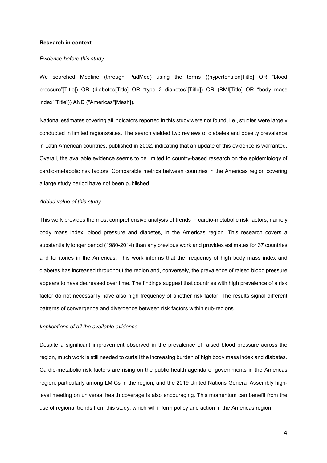#### Research in context

#### Evidence before this study

We searched Medline (through PudMed) using the terms ((hypertension[Title] OR "blood pressure"[Title]) OR (diabetes[Title] OR "type 2 diabetes"[Title]) OR (BMI[Title] OR "body mass index"[Title])) AND ("Americas"[Mesh]).

National estimates covering all indicators reported in this study were not found, i.e., studies were largely conducted in limited regions/sites. The search yielded two reviews of diabetes and obesity prevalence in Latin American countries, published in 2002, indicating that an update of this evidence is warranted. Overall, the available evidence seems to be limited to country-based research on the epidemiology of cardio-metabolic risk factors. Comparable metrics between countries in the Americas region covering a large study period have not been published.

#### Added value of this study

This work provides the most comprehensive analysis of trends in cardio-metabolic risk factors, namely body mass index, blood pressure and diabetes, in the Americas region. This research covers a substantially longer period (1980-2014) than any previous work and provides estimates for 37 countries and territories in the Americas. This work informs that the frequency of high body mass index and diabetes has increased throughout the region and, conversely, the prevalence of raised blood pressure appears to have decreased over time. The findings suggest that countries with high prevalence of a risk factor do not necessarily have also high frequency of another risk factor. The results signal different patterns of convergence and divergence between risk factors within sub-regions.

#### Implications of all the available evidence

Despite a significant improvement observed in the prevalence of raised blood pressure across the region, much work is still needed to curtail the increasing burden of high body mass index and diabetes. Cardio-metabolic risk factors are rising on the public health agenda of governments in the Americas region, particularly among LMICs in the region, and the 2019 United Nations General Assembly highlevel meeting on universal health coverage is also encouraging. This momentum can benefit from the use of regional trends from this study, which will inform policy and action in the Americas region.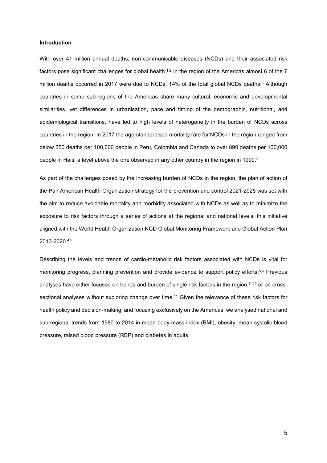#### Introduction

With over 41 million annual deaths, non-communicable diseases (NCDs) and their associated risk factors pose significant challenges for global health.<sup>1,2</sup> In the region of the Americas almost  $6$  of the 7 million deaths occurred in 2017 were due to NCDs, 14% of the total global NCDs deaths.<sup>3</sup> Although countries in some sub-regions of the Americas share many cultural, economic and developmental similarities, yet differences in urbanisation, pace and timing of the demographic, nutritional, and epidemiological transitions, have led to high levels of heterogeneity in the burden of NCDs across countries in the region. In 2017 the age-standardised mortality rate for NCDs in the region ranged from below 350 deaths per 100,000 people in Peru, Colombia and Canada to over 890 deaths per 100,000 people in Haiti, a level above the one observed in any other country in the region in 1990.<sup>2</sup>

As part of the challenges posed by the increasing burden of NCDs in the region, the plan of action of the Pan American Health Organization strategy for the prevention and control 2021-2025 was set with the aim to reduce avoidable mortality and morbidity associated with NCDs as well as to minimize the exposure to risk factors through a series of actions at the regional and national levels; this initiative aligned with the World Health Organization NCD Global Monitoring Framework and Global Action Plan 2013-2020.4,5

Describing the levels and trends of cardio-metabolic risk factors associated with NCDs is vital for monitoring progress, planning prevention and provide evidence to support policy efforts.5,6 Previous analyses have either focused on trends and burden of single risk factors in the region,<sup>7-10</sup> or on crosssectional analyses without exploring change over time.<sup>11</sup> Given the relevance of these risk factors for health policy and decision-making, and focusing exclusively on the Americas, we analysed national and sub-regional trends from 1980 to 2014 in mean body-mass index (BMI), obesity, mean systolic blood pressure, raised blood pressure (RBP) and diabetes in adults.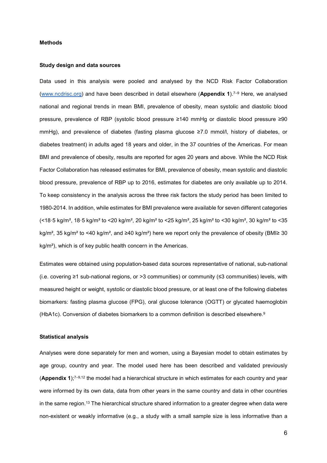#### Methods

#### Study design and data sources

Data used in this analysis were pooled and analysed by the NCD Risk Factor Collaboration (www.ncdrisc.org) and have been described in detail elsewhere (Appendix 1).7–9 Here, we analysed national and regional trends in mean BMI, prevalence of obesity, mean systolic and diastolic blood pressure, prevalence of RBP (systolic blood pressure ≥140 mmHg or diastolic blood pressure ≥90 mmHg), and prevalence of diabetes (fasting plasma glucose ≥7.0 mmol/l, history of diabetes, or diabetes treatment) in adults aged 18 years and older, in the 37 countries of the Americas. For mean BMI and prevalence of obesity, results are reported for ages 20 years and above. While the NCD Risk Factor Collaboration has released estimates for BMI, prevalence of obesity, mean systolic and diastolic blood pressure, prevalence of RBP up to 2016, estimates for diabetes are only available up to 2014. To keep consistency in the analysis across the three risk factors the study period has been limited to 1980-2014. In addition, while estimates for BMI prevalence were available for seven different categories  $($  <18 $\cdot$ 5 kg/m<sup>2</sup>, 18 $\cdot$ 5 kg/m<sup>2</sup> to <20 kg/m<sup>2</sup>, 20 kg/m<sup>2</sup> to <25 kg/m<sup>2</sup>, 25 kg/m<sup>2</sup> to <30 kg/m<sup>2</sup>, 30 kg/m<sup>2</sup> to <35 kg/m<sup>2</sup>, 35 kg/m<sup>2</sup> to <40 kg/m<sup>2</sup>, and ≥40 kg/m<sup>2</sup>) here we report only the prevalence of obesity (BMI≥ 30 kg/m<sup>2</sup>), which is of key public health concern in the Americas.

Estimates were obtained using population-based data sources representative of national, sub-national (i.e. covering ≥1 sub-national regions, or >3 communities) or community (≤3 communities) levels, with measured height or weight, systolic or diastolic blood pressure, or at least one of the following diabetes biomarkers: fasting plasma glucose (FPG), oral glucose tolerance (OGTT) or glycated haemoglobin (HbA1c). Conversion of diabetes biomarkers to a common definition is described elsewhere.<sup>9</sup>

#### Statistical analysis

Analyses were done separately for men and women, using a Bayesian model to obtain estimates by age group, country and year. The model used here has been described and validated previously (Appendix 1); $7-9.12$  the model had a hierarchical structure in which estimates for each country and year were informed by its own data, data from other years in the same country and data in other countries in the same region.<sup>13</sup> The hierarchical structure shared information to a greater degree when data were non-existent or weakly informative (e.g., a study with a small sample size is less informative than a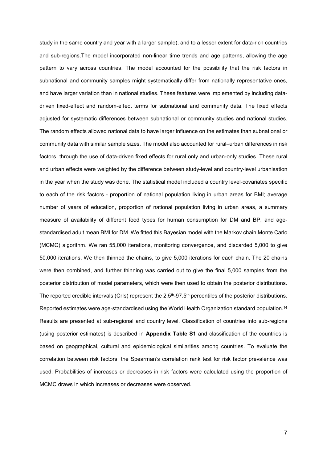study in the same country and year with a larger sample), and to a lesser extent for data-rich countries and sub-regions.The model incorporated non-linear time trends and age patterns, allowing the age pattern to vary across countries. The model accounted for the possibility that the risk factors in subnational and community samples might systematically differ from nationally representative ones, and have larger variation than in national studies. These features were implemented by including datadriven fixed-effect and random-effect terms for subnational and community data. The fixed effects adjusted for systematic differences between subnational or community studies and national studies. The random effects allowed national data to have larger influence on the estimates than subnational or community data with similar sample sizes. The model also accounted for rural–urban differences in risk factors, through the use of data-driven fixed effects for rural only and urban-only studies. These rural and urban effects were weighted by the difference between study-level and country-level urbanisation in the year when the study was done. The statistical model included a country level-covariates specific to each of the risk factors - proportion of national population living in urban areas for BMI; average number of years of education, proportion of national population living in urban areas, a summary measure of availability of different food types for human consumption for DM and BP, and agestandardised adult mean BMI for DM. We fitted this Bayesian model with the Markov chain Monte Carlo (MCMC) algorithm. We ran 55,000 iterations, monitoring convergence, and discarded 5,000 to give 50,000 iterations. We then thinned the chains, to give 5,000 iterations for each chain. The 20 chains were then combined, and further thinning was carried out to give the final 5,000 samples from the posterior distribution of model parameters, which were then used to obtain the posterior distributions. The reported credible intervals (CrIs) represent the 2.5<sup>th</sup>-97.5<sup>th</sup> percentiles of the posterior distributions. Reported estimates were age-standardised using the World Health Organization standard population.<sup>14</sup> Results are presented at sub-regional and country level. Classification of countries into sub-regions (using posterior estimates) is described in Appendix Table S1 and classification of the countries is based on geographical, cultural and epidemiological similarities among countries. To evaluate the correlation between risk factors, the Spearman's correlation rank test for risk factor prevalence was used. Probabilities of increases or decreases in risk factors were calculated using the proportion of MCMC draws in which increases or decreases were observed.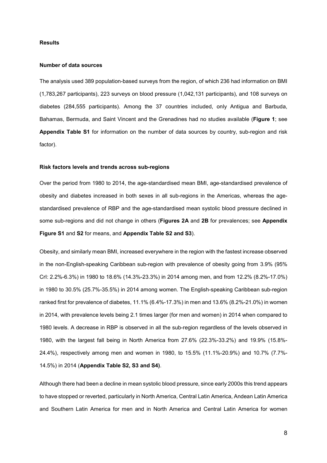#### Results

#### Number of data sources

The analysis used 389 population-based surveys from the region, of which 236 had information on BMI (1,783,267 participants), 223 surveys on blood pressure (1,042,131 participants), and 108 surveys on diabetes (284,555 participants). Among the 37 countries included, only Antigua and Barbuda, Bahamas, Bermuda, and Saint Vincent and the Grenadines had no studies available (Figure 1; see Appendix Table S1 for information on the number of data sources by country, sub-region and risk factor).

#### Risk factors levels and trends across sub-regions

Over the period from 1980 to 2014, the age-standardised mean BMI, age-standardised prevalence of obesity and diabetes increased in both sexes in all sub-regions in the Americas, whereas the agestandardised prevalence of RBP and the age-standardised mean systolic blood pressure declined in some sub-regions and did not change in others (Figures 2A and 2B for prevalences; see Appendix Figure S1 and S2 for means, and Appendix Table S2 and S3).

Obesity, and similarly mean BMI, increased everywhere in the region with the fastest increase observed in the non-English-speaking Caribbean sub-region with prevalence of obesity going from 3.9% (95% CrI: 2.2%-6.3%) in 1980 to 18.6% (14.3%-23.3%) in 2014 among men, and from 12.2% (8.2%-17.0%) in 1980 to 30.5% (25.7%-35.5%) in 2014 among women. The English-speaking Caribbean sub-region ranked first for prevalence of diabetes, 11.1% (6.4%-17.3%) in men and 13.6% (8.2%-21.0%) in women in 2014, with prevalence levels being 2.1 times larger (for men and women) in 2014 when compared to 1980 levels. A decrease in RBP is observed in all the sub-region regardless of the levels observed in 1980, with the largest fall being in North America from 27.6% (22.3%-33.2%) and 19.9% (15.8%- 24.4%), respectively among men and women in 1980, to 15.5% (11.1%-20.9%) and 10.7% (7.7%- 14.5%) in 2014 (Appendix Table S2, S3 and S4).

Although there had been a decline in mean systolic blood pressure, since early 2000s this trend appears to have stopped or reverted, particularly in North America, Central Latin America, Andean Latin America and Southern Latin America for men and in North America and Central Latin America for women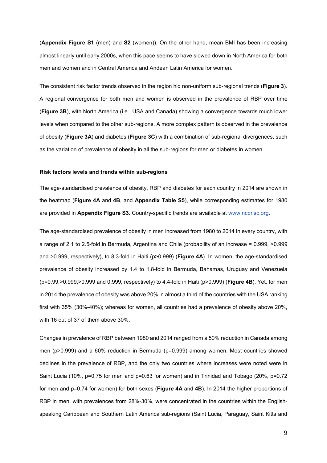(Appendix Figure S1 (men) and S2 (women)). On the other hand, mean BMI has been increasing almost linearly until early 2000s, when this pace seems to have slowed down in North America for both men and women and in Central America and Andean Latin America for women.

The consistent risk factor trends observed in the region hid non-uniform sub-regional trends (Figure 3). A regional convergence for both men and women is observed in the prevalence of RBP over time (Figure 3B), with North America (i.e., USA and Canada) showing a convergence towards much lower levels when compared to the other sub-regions. A more complex pattern is observed in the prevalence of obesity (Figure 3A) and diabetes (Figure 3C) with a combination of sub-regional divergences, such as the variation of prevalence of obesity in all the sub-regions for men or diabetes in women.

#### Risk factors levels and trends within sub-regions

The age-standardised prevalence of obesity, RBP and diabetes for each country in 2014 are shown in the heatmap (Figure 4A and 4B, and Appendix Table S5), while corresponding estimates for 1980 are provided in Appendix Figure S3. Country-specific trends are available at www.ncdrisc.org.

The age-standardised prevalence of obesity in men increased from 1980 to 2014 in every country, with a range of 2.1 to 2.5-fold in Bermuda, Argentina and Chile (probability of an increase = 0.999, >0.999 and >0.999, respectively), to 8.3-fold in Haiti (p>0.999) (Figure 4A). In women, the age-standardised prevalence of obesity increased by 1.4 to 1.8-fold in Bermuda, Bahamas, Uruguay and Venezuela  $(p=0.99, > 0.999, > 0.999)$  and 0.999, respectively) to 4.4-fold in Haiti ( $p>0.999$ ) (**Figure 4B**). Yet, for men in 2014 the prevalence of obesity was above 20% in almost a third of the countries with the USA ranking first with 35% (30%-40%); whereas for women, all countries had a prevalence of obesity above 20%, with 16 out of 37 of them above 30%.

Changes in prevalence of RBP between 1980 and 2014 ranged from a 50% reduction in Canada among men (p>0.999) and a 60% reduction in Bermuda (p=0.999) among women. Most countries showed declines in the prevalence of RBP, and the only two countries where increases were noted were in Saint Lucia (10%, p=0.75 for men and p=0.63 for women) and in Trinidad and Tobago (20%, p=0.72 for men and p=0.74 for women) for both sexes (Figure 4A and 4B). In 2014 the higher proportions of RBP in men, with prevalences from 28%-30%, were concentrated in the countries within the Englishspeaking Caribbean and Southern Latin America sub-regions (Saint Lucia, Paraguay, Saint Kitts and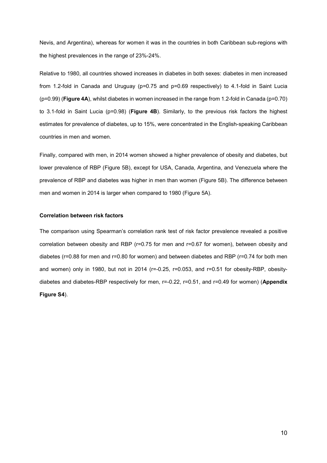Nevis, and Argentina), whereas for women it was in the countries in both Caribbean sub-regions with the highest prevalences in the range of 23%-24%.

Relative to 1980, all countries showed increases in diabetes in both sexes: diabetes in men increased from 1.2-fold in Canada and Uruguay (p=0.75 and p=0.69 respectively) to 4.1-fold in Saint Lucia  $(p=0.99)$  (Figure 4A), whilst diabetes in women increased in the range from 1.2-fold in Canada ( $p=0.70$ ) to 3.1-fold in Saint Lucia (p=0.98) (Figure 4B). Similarly, to the previous risk factors the highest estimates for prevalence of diabetes, up to 15%, were concentrated in the English-speaking Caribbean countries in men and women.

Finally, compared with men, in 2014 women showed a higher prevalence of obesity and diabetes, but lower prevalence of RBP (Figure 5B), except for USA, Canada, Argentina, and Venezuela where the prevalence of RBP and diabetes was higher in men than women (Figure 5B). The difference between men and women in 2014 is larger when compared to 1980 (Figure 5A).

#### Correlation between risk factors

The comparison using Spearman's correlation rank test of risk factor prevalence revealed a positive correlation between obesity and RBP (r=0.75 for men and r=0.67 for women), between obesity and diabetes (r=0.88 for men and r=0.80 for women) and between diabetes and RBP (r=0.74 for both men and women) only in 1980, but not in 2014 (r=-0.25, r=0.053, and r=0.51 for obesity-RBP, obesitydiabetes and diabetes-RBP respectively for men, r=-0.22, r=0.51, and r=0.49 for women) (Appendix Figure S4).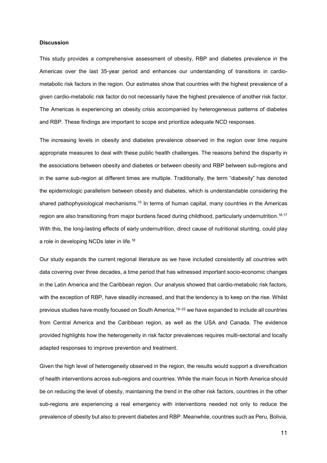#### **Discussion**

This study provides a comprehensive assessment of obesity, RBP and diabetes prevalence in the Americas over the last 35-year period and enhances our understanding of transitions in cardiometabolic risk factors in the region. Our estimates show that countries with the highest prevalence of a given cardio-metabolic risk factor do not necessarily have the highest prevalence of another risk factor. The Americas is experiencing an obesity crisis accompanied by heterogeneous patterns of diabetes and RBP. These findings are important to scope and prioritize adequate NCD responses.

The increasing levels in obesity and diabetes prevalence observed in the region over time require appropriate measures to deal with these public health challenges. The reasons behind the disparity in the associations between obesity and diabetes or between obesity and RBP between sub-regions and in the same sub-region at different times are multiple. Traditionally, the term "diabesity" has denoted the epidemiologic parallelism between obesity and diabetes, which is understandable considering the shared pathophysiological mechanisms.<sup>15</sup> In terms of human capital, many countries in the Americas region are also transitioning from major burdens faced during childhood, particularly undernutrition.<sup>16,17</sup> With this, the long-lasting effects of early undernutrition, direct cause of nutritional stunting, could play a role in developing NCDs later in life.<sup>18</sup>

Our study expands the current regional literature as we have included consistently all countries with data covering over three decades, a time period that has witnessed important socio-economic changes in the Latin America and the Caribbean region. Our analysis showed that cardio-metabolic risk factors, with the exception of RBP, have steadily increased, and that the tendency is to keep on the rise. Whilst previous studies have mostly focused on South America,19–22 we have expanded to include all countries from Central America and the Caribbean region, as well as the USA and Canada. The evidence provided highlights how the heterogeneity in risk factor prevalences requires multi-sectorial and locally adapted responses to improve prevention and treatment.

Given the high level of heterogeneity observed in the region, the results would support a diversification of health interventions across sub-regions and countries. While the main focus in North America should be on reducing the level of obesity, maintaining the trend in the other risk factors, countries in the other sub-regions are experiencing a real emergency with interventions needed not only to reduce the prevalence of obesity but also to prevent diabetes and RBP. Meanwhile, countries such as Peru, Bolivia,

11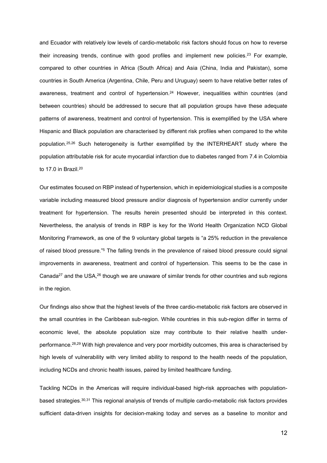and Ecuador with relatively low levels of cardio-metabolic risk factors should focus on how to reverse their increasing trends, continue with good profiles and implement new policies.<sup>23</sup> For example, compared to other countries in Africa (South Africa) and Asia (China, India and Pakistan), some countries in South America (Argentina, Chile, Peru and Uruguay) seem to have relative better rates of awareness, treatment and control of hypertension.<sup>24</sup> However, inequalities within countries (and between countries) should be addressed to secure that all population groups have these adequate patterns of awareness, treatment and control of hypertension. This is exemplified by the USA where Hispanic and Black population are characterised by different risk profiles when compared to the white population.25,26 Such heterogeneity is further exemplified by the INTERHEART study where the population attributable risk for acute myocardial infarction due to diabetes ranged from 7.4 in Colombia to 17.0 in Brazil.<sup>20</sup>

Our estimates focused on RBP instead of hypertension, which in epidemiological studies is a composite variable including measured blood pressure and/or diagnosis of hypertension and/or currently under treatment for hypertension. The results herein presented should be interpreted in this context. Nevertheless, the analysis of trends in RBP is key for the World Health Organization NCD Global Monitoring Framework, as one of the 9 voluntary global targets is "a 25% reduction in the prevalence of raised blood pressure."<sup>5</sup> The falling trends in the prevalence of raised blood pressure could signal improvements in awareness, treatment and control of hypertension. This seems to be the case in Canada<sup>27</sup> and the USA,<sup>26</sup> though we are unaware of similar trends for other countries and sub regions in the region.

Our findings also show that the highest levels of the three cardio-metabolic risk factors are observed in the small countries in the Caribbean sub-region. While countries in this sub-region differ in terms of economic level, the absolute population size may contribute to their relative health underperformance.28,29 With high prevalence and very poor morbidity outcomes, this area is characterised by high levels of vulnerability with very limited ability to respond to the health needs of the population, including NCDs and chronic health issues, paired by limited healthcare funding.

Tackling NCDs in the Americas will require individual-based high-risk approaches with populationbased strategies.30,31 This regional analysis of trends of multiple cardio-metabolic risk factors provides sufficient data-driven insights for decision-making today and serves as a baseline to monitor and

12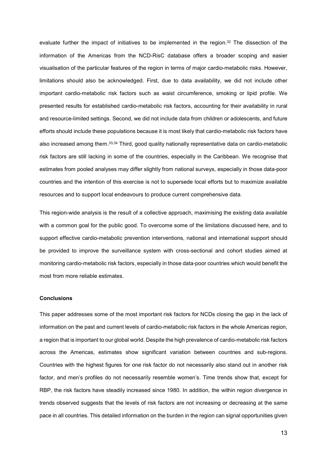evaluate further the impact of initiatives to be implemented in the region.<sup>32</sup> The dissection of the information of the Americas from the NCD-RisC database offers a broader scoping and easier visualisation of the particular features of the region in terms of major cardio-metabolic risks. However, limitations should also be acknowledged. First, due to data availability, we did not include other important cardio-metabolic risk factors such as waist circumference, smoking or lipid profile. We presented results for established cardio-metabolic risk factors, accounting for their availability in rural and resource-limited settings. Second, we did not include data from children or adolescents, and future efforts should include these populations because it is most likely that cardio-metabolic risk factors have also increased among them.33,34 Third, good quality nationally representative data on cardio-metabolic risk factors are still lacking in some of the countries, especially in the Caribbean. We recognise that estimates from pooled analyses may differ slightly from national surveys, especially in those data-poor countries and the intention of this exercise is not to supersede local efforts but to maximize available resources and to support local endeavours to produce current comprehensive data.

This region-wide analysis is the result of a collective approach, maximising the existing data available with a common goal for the public good. To overcome some of the limitations discussed here, and to support effective cardio-metabolic prevention interventions, national and international support should be provided to improve the surveillance system with cross-sectional and cohort studies aimed at monitoring cardio-metabolic risk factors, especially in those data-poor countries which would benefit the most from more reliable estimates.

#### **Conclusions**

This paper addresses some of the most important risk factors for NCDs closing the gap in the lack of information on the past and current levels of cardio-metabolic risk factors in the whole Americas region, a region that is important to our global world. Despite the high prevalence of cardio-metabolic risk factors across the Americas, estimates show significant variation between countries and sub-regions. Countries with the highest figures for one risk factor do not necessarily also stand out in another risk factor, and men's profiles do not necessarily resemble women's. Time trends show that, except for RBP, the risk factors have steadily increased since 1980. In addition, the within region divergence in trends observed suggests that the levels of risk factors are not increasing or decreasing at the same pace in all countries. This detailed information on the burden in the region can signal opportunities given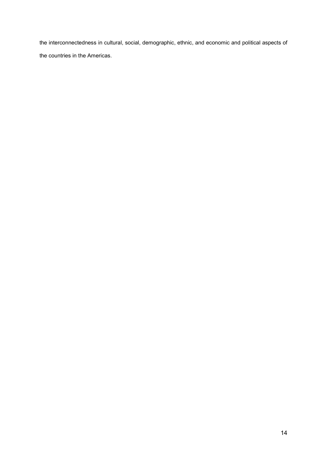the interconnectedness in cultural, social, demographic, ethnic, and economic and political aspects of the countries in the Americas.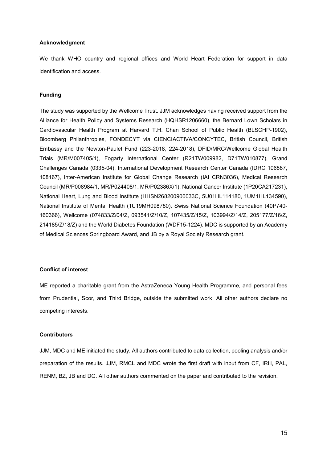#### Acknowledgment

We thank WHO country and regional offices and World Heart Federation for support in data identification and access.

#### Funding

The study was supported by the Wellcome Trust. JJM acknowledges having received support from the Alliance for Health Policy and Systems Research (HQHSR1206660), the Bernard Lown Scholars in Cardiovascular Health Program at Harvard T.H. Chan School of Public Health (BLSCHP-1902), Bloomberg Philanthropies, FONDECYT via CIENCIACTIVA/CONCYTEC, British Council, British Embassy and the Newton-Paulet Fund (223-2018, 224-2018), DFID/MRC/Wellcome Global Health Trials (MR/M007405/1), Fogarty International Center (R21TW009982, D71TW010877), Grand Challenges Canada (0335-04), International Development Research Center Canada (IDRC 106887, 108167), Inter-American Institute for Global Change Research (IAI CRN3036), Medical Research Council (MR/P008984/1, MR/P024408/1, MR/P02386X/1), National Cancer Institute (1P20CA217231), National Heart, Lung and Blood Institute (HHSN268200900033C, 5U01HL114180, 1UM1HL134590), National Institute of Mental Health (1U19MH098780), Swiss National Science Foundation (40P740- 160366), Wellcome (074833/Z/04/Z, 093541/Z/10/Z, 107435/Z/15/Z, 103994/Z/14/Z, 205177/Z/16/Z, 214185/Z/18/Z) and the World Diabetes Foundation (WDF15-1224). MDC is supported by an Academy of Medical Sciences Springboard Award, and JB by a Royal Society Research grant.

#### Conflict of interest

ME reported a charitable grant from the AstraZeneca Young Health Programme, and personal fees from Prudential, Scor, and Third Bridge, outside the submitted work. All other authors declare no competing interests.

#### **Contributors**

JJM, MDC and ME initiated the study. All authors contributed to data collection, pooling analysis and/or preparation of the results. JJM, RMCL and MDC wrote the first draft with input from CF, IRH, PAL, RENM, BZ, JB and DG. All other authors commented on the paper and contributed to the revision.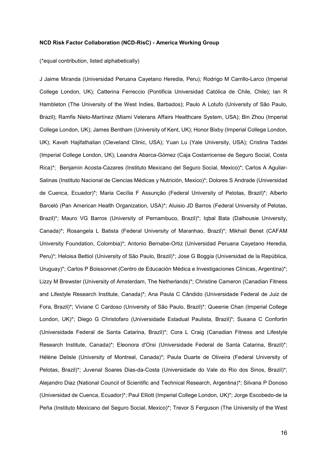#### NCD Risk Factor Collaboration (NCD-RisC) - America Working Group

(\*equal contribution, listed alphabetically)

J Jaime Miranda (Universidad Peruana Cayetano Heredia, Peru); Rodrigo M Carrillo-Larco (Imperial College London, UK); Catterina Ferreccio (Pontificia Universidad Católica de Chile, Chile); Ian R Hambleton (The University of the West Indies, Barbados); Paulo A Lotufo (University of São Paulo, Brazil); Ramfis Nieto-Martínez (Miami Veterans Affairs Healthcare System, USA); Bin Zhou (Imperial College London, UK); James Bentham (University of Kent, UK); Honor Bixby (Imperial College London, UK); Kaveh Hajifathalian (Cleveland Clinic, USA); Yuan Lu (Yale University, USA); Cristina Taddei (Imperial College London, UK); Leandra Abarca-Gómez (Caja Costarricense de Seguro Social, Costa Rica)\*; Benjamin Acosta-Cazares (Instituto Mexicano del Seguro Social, Mexico)\*; Carlos A Aguilar-Salinas (Instituto Nacional de Ciencias Médicas y Nutrición, Mexico)\*; Dolores S Andrade (Universidad de Cuenca, Ecuador)\*; Maria Cecília F Assunção (Federal University of Pelotas, Brazil)\*; Alberto Barceló (Pan American Health Organization, USA)\*; Aluisio JD Barros (Federal University of Pelotas, Brazil)\*; Mauro VG Barros (University of Pernambuco, Brazil)\*; Iqbal Bata (Dalhousie University, Canada)\*; Rosangela L Batista (Federal University of Maranhao, Brazil)\*; Mikhail Benet (CAFAM University Foundation, Colombia)\*; Antonio Bernabe-Ortiz (Universidad Peruana Cayetano Heredia, Peru)\*; Heloisa Bettiol (University of São Paulo, Brazil)\*; Jose G Boggia (Universidad de la República, Uruguay)\*; Carlos P Boissonnet (Centro de Educación Médica e Investigaciones Clínicas, Argentina)\*; Lizzy M Brewster (University of Amsterdam, The Netherlands)\*; Christine Cameron (Canadian Fitness and Lifestyle Research Institute, Canada)\*; Ana Paula C Cândido (Universidade Federal de Juiz de Fora, Brazil)\*; Viviane C Cardoso (University of São Paulo, Brazil)\*; Queenie Chan (Imperial College London, UK)\*; Diego G Christofaro (Universidade Estadual Paulista, Brazil)\*; Susana C Confortin (Universidade Federal de Santa Catarina, Brazil)\*; Cora L Craig (Canadian Fitness and Lifestyle Research Institute, Canada)\*; Eleonora d'Orsi (Universidade Federal de Santa Catarina, Brazil)\*; Hélène Delisle (University of Montreal, Canada)\*; Paula Duarte de Oliveira (Federal University of Pelotas, Brazil)\*; Juvenal Soares Dias-da-Costa (Universidade do Vale do Rio dos Sinos, Brazil)\*; Alejandro Diaz (National Council of Scientific and Technical Research, Argentina)\*; Silvana P Donoso (Universidad de Cuenca, Ecuador)\*; Paul Elliott (Imperial College London, UK)\*; Jorge Escobedo-de la Peña (Instituto Mexicano del Seguro Social, Mexico)\*; Trevor S Ferguson (The University of the West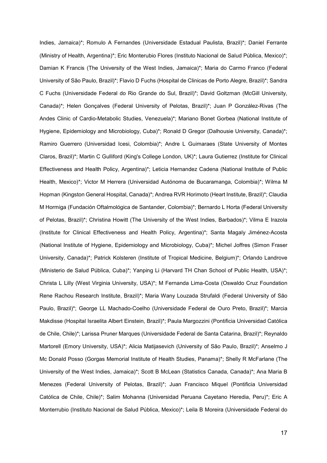Indies, Jamaica)\*; Romulo A Fernandes (Universidade Estadual Paulista, Brazil)\*; Daniel Ferrante (Ministry of Health, Argentina)\*; Eric Monterubio Flores (Instituto Nacional de Salud Pública, Mexico)\*; Damian K Francis (The University of the West Indies, Jamaica)\*; Maria do Carmo Franco (Federal University of São Paulo, Brazil)\*; Flavio D Fuchs (Hospital de Clinicas de Porto Alegre, Brazil)\*; Sandra C Fuchs (Universidade Federal do Rio Grande do Sul, Brazil)\*; David Goltzman (McGill University, Canada)\*; Helen Gonçalves (Federal University of Pelotas, Brazil)\*; Juan P González-Rivas (The Andes Clinic of Cardio-Metabolic Studies, Venezuela)\*; Mariano Bonet Gorbea (National Institute of Hygiene, Epidemiology and Microbiology, Cuba)\*; Ronald D Gregor (Dalhousie University, Canada)\*; Ramiro Guerrero (Universidad Icesi, Colombia)\*; Andre L Guimaraes (State University of Montes Claros, Brazil)\*; Martin C Gulliford (King's College London, UK)\*; Laura Gutierrez (Institute for Clinical Effectiveness and Health Policy, Argentina)\*; Leticia Hernandez Cadena (National Institute of Public Health, Mexico)\*; Victor M Herrera (Universidad Autónoma de Bucaramanga, Colombia)\*; Wilma M Hopman (Kingston General Hospital, Canada)\*; Andrea RVR Horimoto (Heart Institute, Brazil)\*; Claudia M Hormiga (Fundación Oftalmológica de Santander, Colombia)\*; Bernardo L Horta (Federal University of Pelotas, Brazil)\*; Christina Howitt (The University of the West Indies, Barbados)\*; Vilma E Irazola (Institute for Clinical Effectiveness and Health Policy, Argentina)\*; Santa Magaly Jiménez-Acosta (National Institute of Hygiene, Epidemiology and Microbiology, Cuba)\*; Michel Joffres (Simon Fraser University, Canada)\*; Patrick Kolsteren (Institute of Tropical Medicine, Belgium)\*; Orlando Landrove (Ministerio de Salud Pública, Cuba)\*; Yanping Li (Harvard TH Chan School of Public Health, USA)\*; Christa L Lilly (West Virginia University, USA)\*; M Fernanda Lima-Costa (Oswaldo Cruz Foundation Rene Rachou Research Institute, Brazil)\*; Maria Wany Louzada Strufaldi (Federal University of São Paulo, Brazil)\*; George LL Machado-Coelho (Universidade Federal de Ouro Preto, Brazil)\*; Marcia Makdisse (Hospital Israelita Albert Einstein, Brazil)\*; Paula Margozzini (Pontificia Universidad Católica de Chile, Chile)\*; Larissa Pruner Marques (Universidade Federal de Santa Catarina, Brazil)\*; Reynaldo Martorell (Emory University, USA)\*; Alicia Matijasevich (University of São Paulo, Brazil)\*; Anselmo J Mc Donald Posso (Gorgas Memorial Institute of Health Studies, Panama)\*; Shelly R McFarlane (The University of the West Indies, Jamaica)\*; Scott B McLean (Statistics Canada, Canada)\*; Ana Maria B Menezes (Federal University of Pelotas, Brazil)\*; Juan Francisco Miquel (Pontificia Universidad Católica de Chile, Chile)\*; Salim Mohanna (Universidad Peruana Cayetano Heredia, Peru)\*; Eric A Monterrubio (Instituto Nacional de Salud Pública, Mexico)\*; Leila B Moreira (Universidade Federal do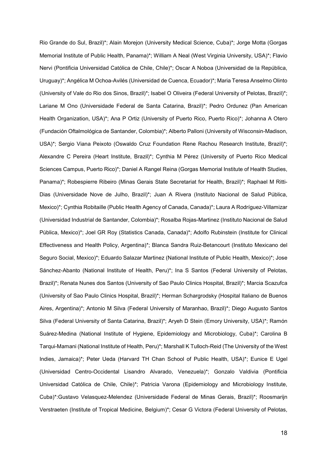Rio Grande do Sul, Brazil)\*; Alain Morejon (University Medical Science, Cuba)\*; Jorge Motta (Gorgas Memorial Institute of Public Health, Panama)\*; William A Neal (West Virginia University, USA)\*; Flavio Nervi (Pontificia Universidad Católica de Chile, Chile)\*; Oscar A Noboa (Universidad de la República, Uruguay)\*; Angélica M Ochoa-Avilés (Universidad de Cuenca, Ecuador)\*; Maria Teresa Anselmo Olinto (University of Vale do Rio dos Sinos, Brazil)\*; Isabel O Oliveira (Federal University of Pelotas, Brazil)\*; Lariane M Ono (Universidade Federal de Santa Catarina, Brazil)\*; Pedro Ordunez (Pan American Health Organization, USA)\*; Ana P Ortiz (University of Puerto Rico, Puerto Rico)\*; Johanna A Otero (Fundación Oftalmológica de Santander, Colombia)\*; Alberto Palloni (University of Wisconsin-Madison, USA)\*; Sergio Viana Peixoto (Oswaldo Cruz Foundation Rene Rachou Research Institute, Brazil)\*; Alexandre C Pereira (Heart Institute, Brazil)\*; Cynthia M Pérez (University of Puerto Rico Medical Sciences Campus, Puerto Rico)\*; Daniel A Rangel Reina (Gorgas Memorial Institute of Health Studies, Panama)\*; Robespierre Ribeiro (Minas Gerais State Secretariat for Health, Brazil)\*; Raphael M Ritti-Dias (Universidade Nove de Julho, Brazil)\*; Juan A Rivera (Instituto Nacional de Salud Pública, Mexico)\*; Cynthia Robitaille (Public Health Agency of Canada, Canada)\*; Laura A Rodríguez-Villamizar (Universidad Industrial de Santander, Colombia)\*; Rosalba Rojas-Martinez (Instituto Nacional de Salud Pública, Mexico)\*; Joel GR Roy (Statistics Canada, Canada)\*; Adolfo Rubinstein (Institute for Clinical Effectiveness and Health Policy, Argentina)\*; Blanca Sandra Ruiz-Betancourt (Instituto Mexicano del Seguro Social, Mexico)\*; Eduardo Salazar Martinez (National Institute of Public Health, Mexico)\*; Jose Sánchez-Abanto (National Institute of Health, Peru)\*; Ina S Santos (Federal University of Pelotas, Brazil)\*; Renata Nunes dos Santos (University of Sao Paulo Clinics Hospital, Brazil)\*; Marcia Scazufca (University of Sao Paulo Clinics Hospital, Brazil)\*; Herman Schargrodsky (Hospital Italiano de Buenos Aires, Argentina)\*; Antonio M Silva (Federal University of Maranhao, Brazil)\*; Diego Augusto Santos Silva (Federal University of Santa Catarina, Brazil)\*; Aryeh D Stein (Emory University, USA)\*; Ramón Suárez-Medina (National Institute of Hygiene, Epidemiology and Microbiology, Cuba)\*; Carolina B Tarqui-Mamani (National Institute of Health, Peru)\*; Marshall K Tulloch-Reid (The University of the West Indies, Jamaica)\*; Peter Ueda (Harvard TH Chan School of Public Health, USA)\*; Eunice E Ugel (Universidad Centro-Occidental Lisandro Alvarado, Venezuela)\*; Gonzalo Valdivia (Pontificia Universidad Católica de Chile, Chile)\*; Patricia Varona (Epidemiology and Microbiology Institute, Cuba)\*:Gustavo Velasquez-Melendez (Universidade Federal de Minas Gerais, Brazil)\*; Roosmarijn Verstraeten (Institute of Tropical Medicine, Belgium)\*; Cesar G Victora (Federal University of Pelotas,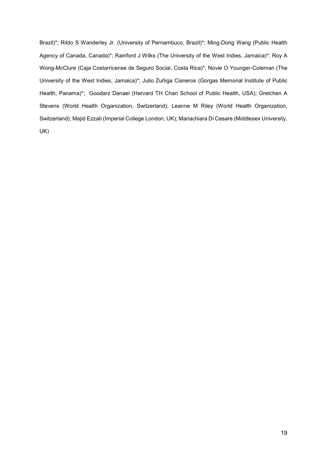Brazil)\*; Rildo S Wanderley Jr. (University of Pernambuco, Brazil)\*; Ming-Dong Wang (Public Health Agency of Canada, Canada)\*; Rainford J Wilks (The University of the West Indies, Jamaica)\*; Roy A Wong-McClure (Caja Costarricense de Seguro Social, Costa Rica)\*; Novie O Younger-Coleman (The University of the West Indies, Jamaica)\*; Julio Zuñiga Cisneros (Gorgas Memorial Institute of Public Health, Panama)\*; Goodarz Danaei (Harvard TH Chan School of Public Health, USA); Gretchen A Stevens (World Health Organization, Switzerland); Leanne M Riley (World Health Organization, Switzerland); Majid Ezzati (Imperial College London, UK); Mariachiara Di Cesare (Middlesex University, UK)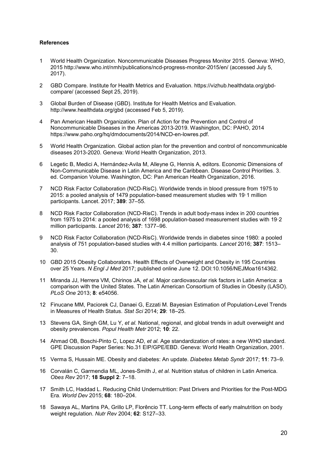#### References

- 1 World Health Organization. Noncommunicable Diseases Progress Monitor 2015. Geneva: WHO, 2015 http://www.who.int/nmh/publications/ncd-progress-monitor-2015/en/ (accessed July 5, 2017).
- 2 GBD Compare. Institute for Health Metrics and Evaluation. https://vizhub.healthdata.org/gbdcompare/ (accessed Sept 25, 2019).
- 3 Global Burden of Disease (GBD). Institute for Health Metrics and Evaluation. http://www.healthdata.org/gbd (accessed Feb 5, 2019).
- 4 Pan American Health Organization. Plan of Action for the Prevention and Control of Noncommunicable Diseases in the Americas 2013-2019. Washington, DC: PAHO, 2014 https://www.paho.org/hq/dmdocuments/2014/NCD-en-lowres.pdf.
- 5 World Health Organization. Global action plan for the prevention and control of noncommunicable diseases 2013-2020. Geneva: World Health Organization, 2013.
- 6 Legetic B, Medici A, Hernández-Avila M, Alleyne G, Hennis A, editors. Economic Dimensions of Non-Communicable Disease in Latin America and the Caribbean. Disease Control Priorities. 3. ed. Companion Volume. Washington, DC: Pan American Health Organization, 2016.
- 7 NCD Risk Factor Collaboration (NCD-RisC). Worldwide trends in blood pressure from 1975 to 2015: a pooled analysis of 1479 population-based measurement studies with 19·1 million participants. Lancet. 2017; 389: 37–55.
- 8 NCD Risk Factor Collaboration (NCD-RisC). Trends in adult body-mass index in 200 countries from 1975 to 2014: a pooled analysis of 1698 population-based measurement studies with 19·2 million participants. Lancet 2016; 387: 1377–96.
- 9 NCD Risk Factor Collaboration (NCD-RisC). Worldwide trends in diabetes since 1980: a pooled analysis of 751 population-based studies with 4.4 million participants. Lancet 2016; 387: 1513– 30.
- 10 GBD 2015 Obesity Collaborators. Health Effects of Overweight and Obesity in 195 Countries over 25 Years. N Engl J Med 2017; published online June 12. DOI:10.1056/NEJMoa1614362.
- 11 Miranda JJ, Herrera VM, Chirinos JA, et al. Major cardiovascular risk factors in Latin America: a comparison with the United States. The Latin American Consortium of Studies in Obesity (LASO). PLoS One 2013; 8: e54056.
- 12 Finucane MM, Paciorek CJ, Danaei G, Ezzati M. Bayesian Estimation of Population-Level Trends in Measures of Health Status. Stat Sci 2014; 29: 18–25.
- 13 Stevens GA, Singh GM, Lu Y, et al. National, regional, and global trends in adult overweight and obesity prevalences. Popul Health Metr 2012; 10: 22.
- 14 Ahmad OB, Boschi-Pinto C, Lopez AD, et al. Age standardization of rates: a new WHO standard. GPE Discussion Paper Series: No.31 EIP/GPE/EBD. Geneva: World Health Organization, 2001.
- 15 Verma S, Hussain ME. Obesity and diabetes: An update. Diabetes Metab Syndr 2017; 11: 73–9.
- 16 Corvalán C, Garmendia ML, Jones-Smith J, et al. Nutrition status of children in Latin America. Obes Rev 2017; 18 Suppl 2: 7–18.
- 17 Smith LC, Haddad L. Reducing Child Undernutrition: Past Drivers and Priorities for the Post-MDG Era. World Dev 2015; 68: 180–204.
- 18 Sawaya AL, Martins PA, Grillo LP, Florêncio TT. Long-term effects of early malnutrition on body weight regulation. Nutr Rev 2004; 62: S127-33.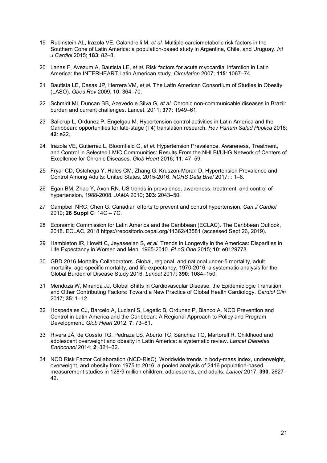- 19 Rubinstein AL, Irazola VE, Calandrelli M, et al. Multiple cardiometabolic risk factors in the Southern Cone of Latin America: a population-based study in Argentina, Chile, and Uruguay. Int J Cardiol 2015; 183: 82–8.
- 20 Lanas F, Avezum A, Bautista LE, et al. Risk factors for acute myocardial infarction in Latin America: the INTERHEART Latin American study. Circulation 2007; 115: 1067–74.
- 21 Bautista LE, Casas JP, Herrera VM, et al. The Latin American Consortium of Studies in Obesity (LASO). Obes Rev 2009; 10: 364–70.
- 22 Schmidt MI, Duncan BB, Azevedo e Silva G, et al. Chronic non-communicable diseases in Brazil: burden and current challenges. Lancet. 2011; 377: 1949–61.
- 23 Salicrup L, Ordunez P, Engelgau M. Hypertension control activities in Latin America and the Caribbean: opportunities for late-stage (T4) translation research. Rev Panam Salud Publica 2018; 42: e22.
- 24 Irazola VE, Gutierrez L, Bloomfield G, et al. Hypertension Prevalence, Awareness, Treatment, and Control in Selected LMIC Communities: Results From the NHLBI/UHG Network of Centers of Excellence for Chronic Diseases. Glob Heart 2016; 11: 47–59.
- 25 Fryar CD, Ostchega Y, Hales CM, Zhang G, Kruszon-Moran D. Hypertension Prevalence and Control Among Adults: United States, 2015-2016. NCHS Data Brief 2017; : 1–8.
- 26 Egan BM, Zhao Y, Axon RN. US trends in prevalence, awareness, treatment, and control of hypertension, 1988-2008. JAMA 2010; 303: 2043–50.
- 27 Campbell NRC, Chen G. Canadian efforts to prevent and control hypertension. Can J Cardiol 2010; 26 Suppl C: 14C – 7C.
- 28 Economic Commission for Latin America and the Caribbean (ECLAC). The Caribbean Outlook, 2018. ECLAC, 2018 https://repositorio.cepal.org/11362/43581 (accessed Sept 26, 2019).
- 29 Hambleton IR, Howitt C, Jeyaseelan S, et al. Trends in Longevity in the Americas: Disparities in Life Expectancy in Women and Men, 1965-2010. PLoS One 2015; 10: e0129778.
- 30 GBD 2016 Mortality Collaborators. Global, regional, and national under-5 mortality, adult mortality, age-specific mortality, and life expectancy, 1970-2016: a systematic analysis for the Global Burden of Disease Study 2016. Lancet 2017; 390: 1084–150.
- 31 Mendoza W, Miranda JJ. Global Shifts in Cardiovascular Disease, the Epidemiologic Transition, and Other Contributing Factors: Toward a New Practice of Global Health Cardiology. Cardiol Clin 2017; 35: 1–12.
- 32 Hospedales CJ, Barcelo A, Luciani S, Legetic B, Ordunez P, Blanco A. NCD Prevention and Control in Latin America and the Caribbean: A Regional Approach to Policy and Program Development. Glob Heart 2012; 7: 73–81.
- 33 Rivera JÁ, de Cossío TG, Pedraza LS, Aburto TC, Sánchez TG, Martorell R. Childhood and adolescent overweight and obesity in Latin America: a systematic review. Lancet Diabetes Endocrinol 2014; 2: 321–32.
- 34 NCD Risk Factor Collaboration (NCD-RisC). Worldwide trends in body-mass index, underweight, overweight, and obesity from 1975 to 2016: a pooled analysis of 2416 population-based measurement studies in 128.9 million children, adolescents, and adults, *Lancet* 2017; 390: 2627– 42.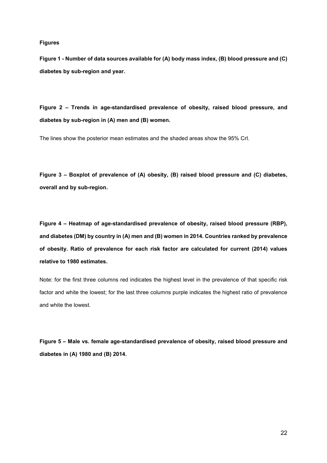#### Figures

Figure 1 - Number of data sources available for (A) body mass index, (B) blood pressure and (C) diabetes by sub-region and year.

Figure 2 – Trends in age-standardised prevalence of obesity, raised blood pressure, and diabetes by sub-region in (A) men and (B) women.

The lines show the posterior mean estimates and the shaded areas show the 95% CrI.

Figure 3 – Boxplot of prevalence of (A) obesity, (B) raised blood pressure and (C) diabetes, overall and by sub-region.

Figure 4 – Heatmap of age-standardised prevalence of obesity, raised blood pressure (RBP), and diabetes (DM) by country in (A) men and (B) women in 2014. Countries ranked by prevalence of obesity. Ratio of prevalence for each risk factor are calculated for current (2014) values relative to 1980 estimates.

Note: for the first three columns red indicates the highest level in the prevalence of that specific risk factor and white the lowest; for the last three columns purple indicates the highest ratio of prevalence and white the lowest.

Figure 5 – Male vs. female age-standardised prevalence of obesity, raised blood pressure and diabetes in (A) 1980 and (B) 2014.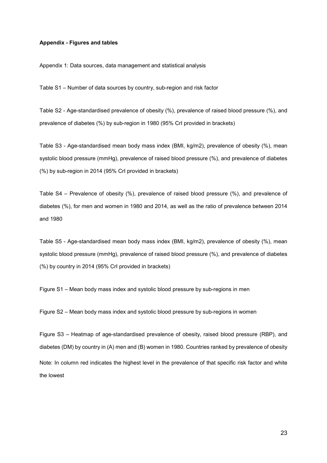#### Appendix - Figures and tables

Appendix 1: Data sources, data management and statistical analysis

Table S1 – Number of data sources by country, sub-region and risk factor

Table S2 - Age-standardised prevalence of obesity (%), prevalence of raised blood pressure (%), and prevalence of diabetes (%) by sub-region in 1980 (95% CrI provided in brackets)

Table S3 - Age-standardised mean body mass index (BMI, kg/m2), prevalence of obesity (%), mean systolic blood pressure (mmHg), prevalence of raised blood pressure (%), and prevalence of diabetes (%) by sub-region in 2014 (95% CrI provided in brackets)

Table S4 – Prevalence of obesity (%), prevalence of raised blood pressure (%), and prevalence of diabetes (%), for men and women in 1980 and 2014, as well as the ratio of prevalence between 2014 and 1980

Table S5 - Age-standardised mean body mass index (BMI, kg/m2), prevalence of obesity (%), mean systolic blood pressure (mmHg), prevalence of raised blood pressure (%), and prevalence of diabetes (%) by country in 2014 (95% CrI provided in brackets)

Figure S1 – Mean body mass index and systolic blood pressure by sub-regions in men

Figure S2 – Mean body mass index and systolic blood pressure by sub-regions in women

Figure S3 – Heatmap of age-standardised prevalence of obesity, raised blood pressure (RBP), and diabetes (DM) by country in (A) men and (B) women in 1980. Countries ranked by prevalence of obesity Note: In column red indicates the highest level in the prevalence of that specific risk factor and white the lowest